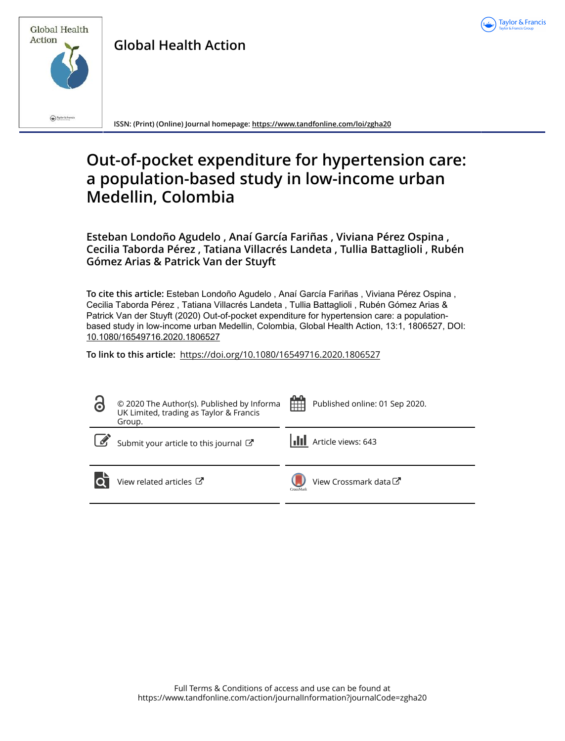

| Action | <b>Global Health</b> |
|--------|----------------------|
|        |                      |

**Global Health Action**

**ISSN: (Print) (Online) Journal homepage:<https://www.tandfonline.com/loi/zgha20>**

# **Out-of-pocket expenditure for hypertension care: a population-based study in low-income urban Medellin, Colombia**

**Esteban Londoño Agudelo , Anaí García Fariñas , Viviana Pérez Ospina , Cecilia Taborda Pérez , Tatiana Villacrés Landeta , Tullia Battaglioli , Rubén Gómez Arias & Patrick Van der Stuyft**

**To cite this article:** Esteban Londoño Agudelo , Anaí García Fariñas , Viviana Pérez Ospina , Cecilia Taborda Pérez , Tatiana Villacrés Landeta , Tullia Battaglioli , Rubén Gómez Arias & Patrick Van der Stuyft (2020) Out-of-pocket expenditure for hypertension care: a populationbased study in low-income urban Medellin, Colombia, Global Health Action, 13:1, 1806527, DOI: [10.1080/16549716.2020.1806527](https://www.tandfonline.com/action/showCitFormats?doi=10.1080/16549716.2020.1806527)

**To link to this article:** <https://doi.org/10.1080/16549716.2020.1806527>

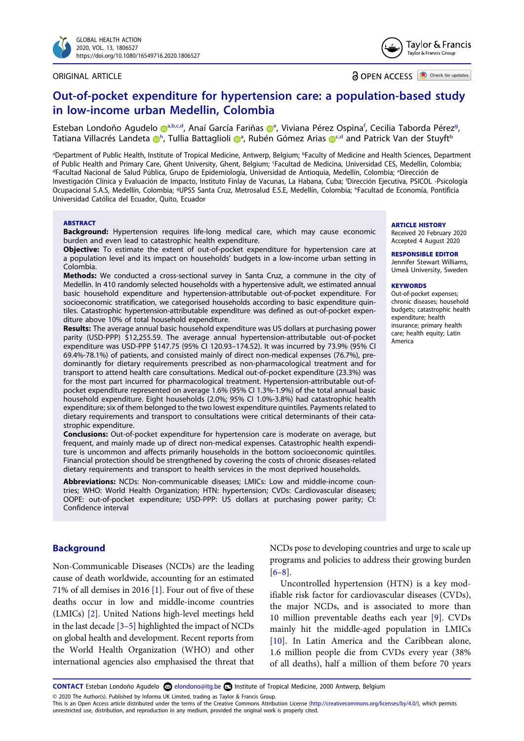

#### ORIGINAL ARTICLE



**a** OPEN ACCESS **C** Check for updates

## **Out-of-pocket expenditure for hypertension care: a population-based study in low-income urban Medellin, Colombia**

Esteban L[o](http://orcid.org/0000-0003-3254-3651)ndoño Agud[e](#page-1-2)lo Dabed, Anaí García Fariñas De, Viviana Pérez Ospina<sup>f</sup>, Cecilia Taborda Pérez<sup>[g](#page-1-4)</sup>, Tatiana Villacrés Landeta [h](#page-1-4) , Tullia Battagliol[i](http://orcid.org/0000-0002-7377-4803) [a](#page-1-0) , Rubén Gómez Aria[s](http://orcid.org/0000-0002-4707-4862) [c](#page-1-1)[,d](#page-1-2) and Patrick Van der Stuyft[b](#page-1-0)

<span id="page-1-4"></span><span id="page-1-3"></span><span id="page-1-2"></span><span id="page-1-1"></span><span id="page-1-0"></span><sup>a</sup>Department of Public Health, Institute of Tropical Medicine, Antwerp, Belgium; <sup>b</sup>Faculty of Medicine and Health Sciences, Department of Public Health and Primary Care, Ghent University, Ghent, Belgium; 'Facultad de Medicina, Universidad CES, Medellin, Colombia;<br>'Facultad Nacional de Salud Pública, Grupo de Epidemiología, Universidad de Antioquia, Medell Facultad Nacional de Salud Pública, Grupo de Epidemiología, Universidad de Antioquia, Medellín, Colombia; <sup>e</sup>Dirección de Investigación Clínica y Evaluación de Impacto, Instituto Finlay de Vacunas, La Habana, Cuba; f Dirección Ejecutiva, PSICOL -Psicología Ocupacional S.A.S, Medellín, Colombia; <sup>g</sup>UPSS Santa Cruz, Metrosalud E.S.E, Medellín, Colombia; <sup>h</sup>Facultad de Economía, Pontificia Universidad Católica del Ecuador, Quito, Ecuador

#### **ABSTRACT**

**Background:** Hypertension requires life-long medical care, which may cause economic burden and even lead to catastrophic health expenditure.

**Objective:** To estimate the extent of out-of-pocket expenditure for hypertension care at a population level and its impact on households' budgets in a low-income urban setting in Colombia.

**Methods:** We conducted a cross-sectional survey in Santa Cruz, a commune in the city of Medellin. In 410 randomly selected households with a hypertensive adult, we estimated annual basic household expenditure and hypertension-attributable out-of-pocket expenditure. For socioeconomic stratification, we categorised households according to basic expenditure quintiles. Catastrophic hypertension-attributable expenditure was defined as out-of-pocket expenditure above 10% of total household expenditure.

**Results:** The average annual basic household expenditure was US dollars at purchasing power parity (USD-PPP) \$12,255.59. The average annual hypertension-attributable out-of-pocket expenditure was USD-PPP \$147.75 (95% CI 120.93–174.52). It was incurred by 73.9% (95% CI 69.4%-78.1%) of patients, and consisted mainly of direct non-medical expenses (76.7%), predominantly for dietary requirements prescribed as non-pharmacological treatment and for transport to attend health care consultations. Medical out-of-pocket expenditure (23.3%) was for the most part incurred for pharmacological treatment. Hypertension-attributable out-ofpocket expenditure represented on average 1.6% (95% CI 1.3%-1.9%) of the total annual basic household expenditure. Eight households (2.0%; 95% CI 1.0%-3.8%) had catastrophic health expenditure; six of them belonged to the two lowest expenditure quintiles. Payments related to dietary requirements and transport to consultations were critical determinants of their catastrophic expenditure.

**Conclusions:** Out-of-pocket expenditure for hypertension care is moderate on average, but frequent, and mainly made up of direct non-medical expenses. Catastrophic health expenditure is uncommon and affects primarily households in the bottom socioeconomic quintiles. Financial protection should be strengthened by covering the costs of chronic diseases-related dietary requirements and transport to health services in the most deprived households.

**Abbreviations:** NCDs: Non-communicable diseases; LMICs: Low and middle-income countries; WHO: World Health Organization; HTN: hypertension; CVDs: Cardiovascular diseases; OOPE: out-of-pocket expenditure; USD-PPP: US dollars at purchasing power parity; CI: Confidence interval

## **Background**

<span id="page-1-7"></span><span id="page-1-6"></span><span id="page-1-5"></span>Non-Communicable Diseases (NCDs) are the leading cause of death worldwide, accounting for an estimated 71% of all demises in 2016 [[1\]](#page-9-0). Four out of five of these deaths occur in low and middle-income countries (LMICs) [\[2\]](#page-9-1). United Nations high-level meetings held in the last decade [\[3](#page-9-2)[–5](#page-9-3)] highlighted the impact of NCDs on global health and development. Recent reports from the World Health Organization (WHO) and other international agencies also emphasised the threat that

NCDs pose to developing countries and urge to scale up programs and policies to address their growing burden [\[6](#page-9-4)[–8](#page-9-5)].

<span id="page-1-10"></span><span id="page-1-9"></span><span id="page-1-8"></span>Uncontrolled hypertension (HTN) is a key modifiable risk factor for cardiovascular diseases (CVDs), the major NCDs, and is associated to more than 10 million preventable deaths each year [\[9\]](#page-9-6). CVDs mainly hit the middle-aged population in LMICs [\[10](#page-9-7)]. In Latin America and the Caribbean alone, 1.6 million people die from CVDs every year (38% of all deaths), half a million of them before 70 years

CONTACT Esteban Londoño Agudelo **۞** elondono@itg.be **□** Institute of Tropical Medicine, 2000 Antwerp, Belgium

© 2020 The Author(s). Published by Informa UK Limited, trading as Taylor & Francis Group.

#### **ARTICLE HISTORY**

Received 20 February 2020 Accepted 4 August 2020

#### **RESPONSIBLE EDITOR**

Jennifer Stewart Williams, Umeå University, Sweden

#### **KEYWORDS**

Out-of-pocket expenses; chronic diseases; household budgets; catastrophic health expenditure; health insurance; primary health care; health equity; Latin America

This is an Open Access article distributed under the terms of the Creative Commons Attribution License (http://creativecommons.org/licenses/by/4.0/), which permits unrestricted use, distribution, and reproduction in any medium, provided the original work is properly cited.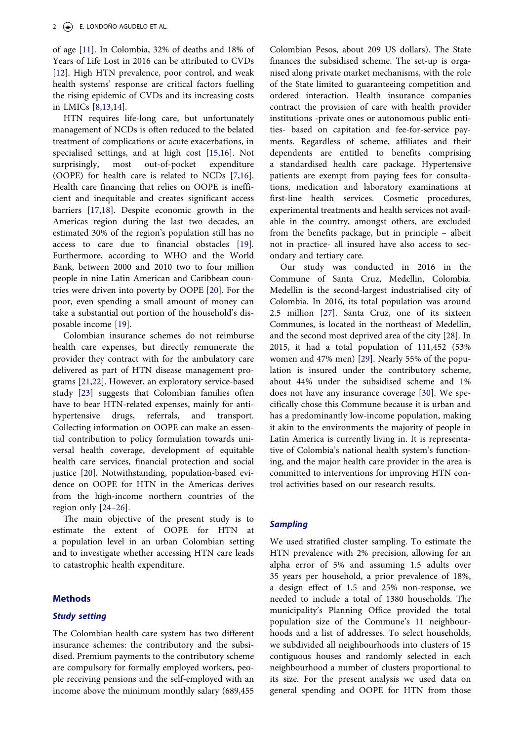<span id="page-2-2"></span><span id="page-2-1"></span>of age [\[11\]](#page-9-8). In Colombia, 32% of deaths and 18% of Years of Life Lost in 2016 can be attributed to CVDs [[12\]](#page-9-9). High HTN prevalence, poor control, and weak health systems' response are critical factors fuelling the rising epidemic of CVDs and its increasing costs in LMICs [[8,](#page-9-5)[13](#page-10-0)[,14\]](#page-10-1).

<span id="page-2-5"></span><span id="page-2-4"></span><span id="page-2-3"></span><span id="page-2-0"></span>HTN requires life-long care, but unfortunately management of NCDs is often reduced to the belated treatment of complications or acute exacerbations, in specialised settings, and at high cost [[15](#page-10-2)[,16](#page-10-3)]. Not surprisingly, most out-of-pocket expenditure (OOPE) for health care is related to NCDs [\[7](#page-9-10),[16\]](#page-10-3). Health care financing that relies on OOPE is inefficient and inequitable and creates significant access barriers [[17](#page-10-4)[,18](#page-10-5)]. Despite economic growth in the Americas region during the last two decades, an estimated 30% of the region's population still has no access to care due to financial obstacles [[19\]](#page-10-6). Furthermore, according to WHO and the World Bank, between 2000 and 2010 two to four million people in nine Latin American and Caribbean countries were driven into poverty by OOPE [\[20](#page-10-7)]. For the poor, even spending a small amount of money can take a substantial out portion of the household's disposable income [[19\]](#page-10-6).

<span id="page-2-9"></span><span id="page-2-8"></span><span id="page-2-6"></span>Colombian insurance schemes do not reimburse health care expenses, but directly remunerate the provider they contract with for the ambulatory care delivered as part of HTN disease management programs [\[21,](#page-10-8)[22\]](#page-10-9). However, an exploratory service-based study [\[23\]](#page-10-10) suggests that Colombian families often have to bear HTN-related expenses, mainly for antihypertensive drugs, referrals, and transport. Collecting information on OOPE can make an essential contribution to policy formulation towards universal health coverage, development of equitable health care services, financial protection and social justice [\[20](#page-10-7)]. Notwithstanding, population-based evidence on OOPE for HTN in the Americas derives from the high-income northern countries of the region only [\[24](#page-10-11)–[26\]](#page-10-12).

<span id="page-2-10"></span><span id="page-2-7"></span>The main objective of the present study is to estimate the extent of OOPE for HTN at a population level in an urban Colombian setting and to investigate whether accessing HTN care leads to catastrophic health expenditure.

## **Methods**

#### *Study setting*

The Colombian health care system has two different insurance schemes: the contributory and the subsidised. Premium payments to the contributory scheme are compulsory for formally employed workers, people receiving pensions and the self-employed with an income above the minimum monthly salary (689,455

Colombian Pesos, about 209 US dollars). The State finances the subsidised scheme. The set-up is organised along private market mechanisms, with the role of the State limited to guaranteeing competition and ordered interaction. Health insurance companies contract the provision of care with health provider institutions -private ones or autonomous public entities- based on capitation and fee-for-service payments. Regardless of scheme, affiliates and their dependents are entitled to benefits comprising a standardised health care package. Hypertensive patients are exempt from paying fees for consultations, medication and laboratory examinations at first-line health services. Cosmetic procedures, experimental treatments and health services not available in the country, amongst others, are excluded from the benefits package, but in principle – albeit not in practice- all insured have also access to secondary and tertiary care.

<span id="page-2-13"></span><span id="page-2-12"></span><span id="page-2-11"></span>Our study was conducted in 2016 in the Commune of Santa Cruz, Medellin, Colombia. Medellin is the second-largest industrialised city of Colombia. In 2016, its total population was around 2.5 million [\[27](#page-10-13)]. Santa Cruz, one of its sixteen Communes, is located in the northeast of Medellin, and the second most deprived area of the city [[28](#page-10-14)]. In 2015, it had a total population of 111,452 (53% women and 47% men) [\[29](#page-10-15)]. Nearly 55% of the population is insured under the contributory scheme, about 44% under the subsidised scheme and 1% does not have any insurance coverage [\[30](#page-10-16)]. We specifically chose this Commune because it is urban and has a predominantly low-income population, making it akin to the environments the majority of people in Latin America is currently living in. It is representative of Colombia's national health system's functioning, and the major health care provider in the area is committed to interventions for improving HTN control activities based on our research results.

## *Sampling*

We used stratified cluster sampling. To estimate the HTN prevalence with 2% precision, allowing for an alpha error of 5% and assuming 1.5 adults over 35 years per household, a prior prevalence of 18%, a design effect of 1.5 and 25% non-response, we needed to include a total of 1380 households. The municipality's Planning Office provided the total population size of the Commune's 11 neighbourhoods and a list of addresses. To select households, we subdivided all neighbourhoods into clusters of 15 contiguous houses and randomly selected in each neighbourhood a number of clusters proportional to its size. For the present analysis we used data on general spending and OOPE for HTN from those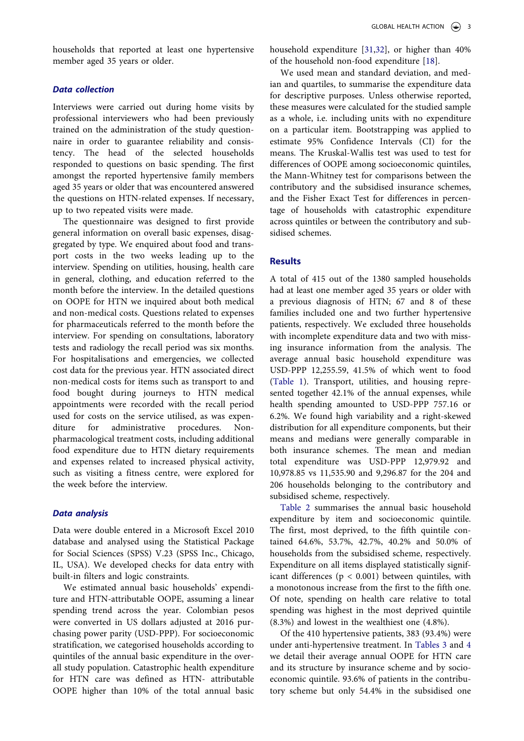households that reported at least one hypertensive member aged 35 years or older.

## *Data collection*

Interviews were carried out during home visits by professional interviewers who had been previously trained on the administration of the study questionnaire in order to guarantee reliability and consistency. The head of the selected households responded to questions on basic spending. The first amongst the reported hypertensive family members aged 35 years or older that was encountered answered the questions on HTN-related expenses. If necessary, up to two repeated visits were made.

The questionnaire was designed to first provide general information on overall basic expenses, disaggregated by type. We enquired about food and transport costs in the two weeks leading up to the interview. Spending on utilities, housing, health care in general, clothing, and education referred to the month before the interview. In the detailed questions on OOPE for HTN we inquired about both medical and non-medical costs. Questions related to expenses for pharmaceuticals referred to the month before the interview. For spending on consultations, laboratory tests and radiology the recall period was six months. For hospitalisations and emergencies, we collected cost data for the previous year. HTN associated direct non-medical costs for items such as transport to and food bought during journeys to HTN medical appointments were recorded with the recall period used for costs on the service utilised, as was expenditure for administrative procedures. Nonpharmacological treatment costs, including additional food expenditure due to HTN dietary requirements and expenses related to increased physical activity, such as visiting a fitness centre, were explored for the week before the interview.

## *Data analysis*

Data were double entered in a Microsoft Excel 2010 database and analysed using the Statistical Package for Social Sciences (SPSS) V.23 (SPSS Inc., Chicago, IL, USA). We developed checks for data entry with built-in filters and logic constraints.

We estimated annual basic households' expenditure and HTN-attributable OOPE, assuming a linear spending trend across the year. Colombian pesos were converted in US dollars adjusted at 2016 purchasing power parity (USD-PPP). For socioeconomic stratification, we categorised households according to quintiles of the annual basic expenditure in the overall study population. Catastrophic health expenditure for HTN care was defined as HTN- attributable OOPE higher than 10% of the total annual basic

<span id="page-3-0"></span>household expenditure [\[31](#page-10-17),[32\]](#page-10-18), or higher than 40% of the household non-food expenditure [[18](#page-10-5)].

We used mean and standard deviation, and median and quartiles, to summarise the expenditure data for descriptive purposes. Unless otherwise reported, these measures were calculated for the studied sample as a whole, i.e. including units with no expenditure on a particular item. Bootstrapping was applied to estimate 95% Confidence Intervals (CI) for the means. The Kruskal-Wallis test was used to test for differences of OOPE among socioeconomic quintiles, the Mann-Whitney test for comparisons between the contributory and the subsidised insurance schemes, and the Fisher Exact Test for differences in percentage of households with catastrophic expenditure across quintiles or between the contributory and subsidised schemes.

## **Results**

A total of 415 out of the 1380 sampled households had at least one member aged 35 years or older with a previous diagnosis of HTN; 67 and 8 of these families included one and two further hypertensive patients, respectively. We excluded three households with incomplete expenditure data and two with missing insurance information from the analysis. The average annual basic household expenditure was USD-PPP 12,255.59, 41.5% of which went to food [\(Table 1\)](#page-4-0). Transport, utilities, and housing represented together 42.1% of the annual expenses, while health spending amounted to USD-PPP 757.16 or 6.2%. We found high variability and a right-skewed distribution for all expenditure components, but their means and medians were generally comparable in both insurance schemes. The mean and median total expenditure was USD-PPP 12,979.92 and 10,978.85 vs 11,535.90 and 9,296.87 for the 204 and 206 households belonging to the contributory and subsidised scheme, respectively.

[Table 2](#page-4-1) summarises the annual basic household expenditure by item and socioeconomic quintile. The first, most deprived, to the fifth quintile contained 64.6%, 53.7%, 42.7%, 40.2% and 50.0% of households from the subsidised scheme, respectively. Expenditure on all items displayed statistically significant differences ( $p < 0.001$ ) between quintiles, with a monotonous increase from the first to the fifth one. Of note, spending on health care relative to total spending was highest in the most deprived quintile (8.3%) and lowest in the wealthiest one (4.8%).

Of the 410 hypertensive patients, 383 (93.4%) were under anti-hypertensive treatment. In [Tables 3](#page-5-0) and [4](#page-6-0) we detail their average annual OOPE for HTN care and its structure by insurance scheme and by socioeconomic quintile. 93.6% of patients in the contributory scheme but only 54.4% in the subsidised one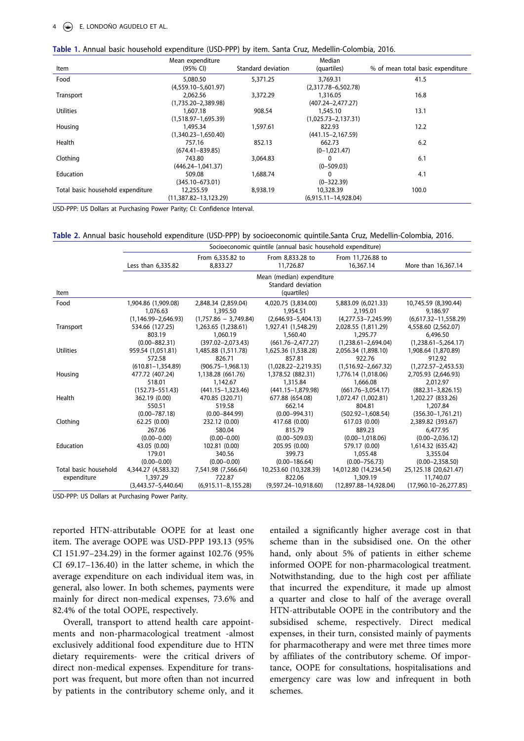#### 4  $\bigcirc$  E. LONDOÑO AGUDELO ET AL.

<span id="page-4-0"></span>

|  |  |  | Table 1. Annual basic household expenditure (USD-PPP) by item. Santa Cruz, Medellin-Colombia, 2016. |  |  |  |  |  |  |
|--|--|--|-----------------------------------------------------------------------------------------------------|--|--|--|--|--|--|
|--|--|--|-----------------------------------------------------------------------------------------------------|--|--|--|--|--|--|

|                                   | Mean expenditure          |                    | Median                   |                                   |
|-----------------------------------|---------------------------|--------------------|--------------------------|-----------------------------------|
| Item                              | (95% CI)                  | Standard deviation | (quartiles)              | % of mean total basic expenditure |
| Food                              | 5,080.50                  | 5,371.25           | 3,769.31                 | 41.5                              |
|                                   | $(4,559.10 - 5,601.97)$   |                    | $(2,317.78 - 6,502.78)$  |                                   |
| Transport                         | 2.062.56                  | 3,372.29           | 1,316.05                 | 16.8                              |
|                                   | $(1,735.20 - 2,389.98)$   |                    | $(407.24 - 2, 477.27)$   |                                   |
| <b>Utilities</b>                  | 1,607.18                  | 908.54             | 1,545.10                 | 13.1                              |
|                                   | $(1,518.97-1,695.39)$     |                    | $(1,025.73 - 2,137.31)$  |                                   |
| Housing                           | 1,495.34                  | 1,597.61           | 822.93                   | 12.2                              |
|                                   | $(1,340.23 - 1,650.40)$   |                    | $(441.15 - 2, 167.59)$   |                                   |
| Health                            | 757.16                    | 852.13             | 662.73                   | 6.2                               |
|                                   | $(674.41 - 839.85)$       |                    | $(0-1,021.47)$           |                                   |
| Clothing                          | 743.80                    | 3,064.83           |                          | 6.1                               |
|                                   | $(446.24 - 1.041.37)$     |                    | $(0 - 509.03)$           |                                   |
| Education                         | 509.08                    | 1,688.74           | 0                        | 4.1                               |
|                                   | $(345.10 - 673.01)$       |                    | $(0 - 322.39)$           |                                   |
| Total basic household expenditure | 12,255.59                 | 8,938.19           | 10,328.39                | 100.0                             |
|                                   | $(11,387.82 - 13,123.29)$ |                    | $(6,915.11 - 14,928.04)$ |                                   |

USD-PPP: US Dollars at Purchasing Power Parity; CI: Confidence Interval.

#### <span id="page-4-1"></span>**Table 2.** Annual basic household expenditure (USD-PPP) by socioeconomic quintile.Santa Cruz, Medellin-Colombia, 2016.

|                       |                           |                              | Socioeconomic quintile (annual basic household expenditure)    |                                |                           |
|-----------------------|---------------------------|------------------------------|----------------------------------------------------------------|--------------------------------|---------------------------|
|                       | Less than 6,335.82        | From 6,335.82 to<br>8.833.27 | From 8,833.28 to<br>11,726.87                                  | From 11,726.88 to<br>16,367.14 | More than 16,367.14       |
| Item                  |                           |                              | Mean (median) expenditure<br>Standard deviation<br>(quartiles) |                                |                           |
| Food                  | 1,904.86 (1,909.08)       | 2,848.34 (2,859.04)          | 4,020.75 (3,834.00)                                            | 5,883.09 (6,021.33)            | 10,745.59 (8,390.44)      |
|                       | 1,076.63                  | 1,395.50                     | 1,954.51                                                       | 2,195.01                       | 9,186.97                  |
|                       | $(1, 146.99 - 2, 646.93)$ | $(1,757.86 - 3,749.84)$      | $(2,646.93 - 5,404.13)$                                        | $(4,277.53 - 7,245.99)$        | $(6,617.32 - 11,558.29)$  |
| Transport             | 534.66 (127.25)           | 1,263.65 (1,238.61)          | 1,927.41 (1,548.29)                                            | 2,028.55 (1,811.29)            | 4,558.60 (2,562.07)       |
|                       | 803.19                    | 1,060.19                     | 1,560.40                                                       | 1,295.77                       | 6,496.50                  |
|                       | $(0.00 - 882.31)$         | $(397.02 - 2.073.43)$        | $(661.76 - 2,477.27)$                                          | $(1,238.61 - 2,694.04)$        | $(1,238.61 - 5,264.17)$   |
| <b>Utilities</b>      | 959.54 (1,051.81)         | 1,485.88 (1,511.78)          | 1,625.36 (1,538.28)                                            | 2,056.34 (1,898.10)            | 1,908.64 (1,870.89)       |
|                       | 572.58                    | 826.71                       | 857.81                                                         | 922.76                         | 912.92                    |
|                       | $(610.81 - 1, 354.89)$    | $(906.75 - 1,968.13)$        | $(1,028.22 - 2,219.35)$                                        | $(1,516.92 - 2,667.32)$        | $(1,272.57 - 2,453.53)$   |
| Housing               | 477.72 (407.24)           | 1,138.28 (661.76)            | 1,378.52 (882.31)                                              | 1,776.14 (1,018.06)            | 2,705.93 (2,646.93)       |
|                       | 518.01                    | 1.142.67                     | 1,315.84                                                       | 1,666.08                       | 2.012.97                  |
|                       | $(152.73 - 551.43)$       | $(441.15 - 1, 323.46)$       | $(441.15 - 1,879.98)$                                          | $(661.76 - 3.054.17)$          | $(882.31 - 3.826.15)$     |
| Health                | 362.19 (0.00)             | 470.85 (320.71)              | 677.88 (654.08)                                                | 1,072.47 (1,002.81)            | 1,202.27 (833.26)         |
|                       | 550.51                    | 519.58                       | 662.14                                                         | 804.81                         | 1,207.84                  |
|                       | $(0.00 - 787.18)$         | $(0.00 - 844.99)$            | $(0.00 - 994.31)$                                              | $(502.92 - 1, 608.54)$         | $(356.30 - 1,761.21)$     |
| Clothing              | 62.25 (0.00)              | 232.12 (0.00)                | 417.68 (0.00)                                                  | 617.03 (0.00)                  | 2,389.82 (393.67)         |
|                       | 267.06                    | 580.04                       | 815.79                                                         | 889.23                         | 6,477.95                  |
|                       | $(0.00 - 0.00)$           | $(0.00 - 0.00)$              | $(0.00 - 509.03)$                                              | $(0.00 - 1, 018.06)$           | $(0.00 - 2.036.12)$       |
| Education             | 43.05 (0.00)              | 102.81 (0.00)                | 205.95 (0.00)                                                  | 579.17 (0.00)                  | 1,614.32 (635.42)         |
|                       | 179.01                    | 340.56                       | 399.73                                                         | 1.055.48                       | 3,355.04                  |
|                       | $(0.00 - 0.00)$           | $(0.00 - 0.00)$              | $(0.00 - 186.64)$                                              | $(0.00 - 756.73)$              | $(0.00 - 2, 358.50)$      |
| Total basic household | 4,344.27 (4,583.32)       | 7,541.98 (7,566.64)          | 10,253.60 (10,328.39)                                          | 14,012.80 (14,234.54)          | 25,125.18 (20,621.47)     |
| expenditure           | 1,397.29                  | 722.87                       | 822.06                                                         | 1,309.19                       | 11,740.07                 |
|                       | $(3,443.57 - 5,440.64)$   | $(6,915.11 - 8,155.28)$      | $(9,597.24 - 10,918.60)$                                       | $(12,897.88 - 14,928.04)$      | $(17,960.10 - 26,277.85)$ |

USD-PPP: US Dollars at Purchasing Power Parity.

reported HTN-attributable OOPE for at least one item. The average OOPE was USD-PPP 193.13 (95% CI 151.97–234.29) in the former against 102.76 (95% CI 69.17–136.40) in the latter scheme, in which the average expenditure on each individual item was, in general, also lower. In both schemes, payments were mainly for direct non-medical expenses, 73.6% and 82.4% of the total OOPE, respectively.

Overall, transport to attend health care appointments and non-pharmacological treatment -almost exclusively additional food expenditure due to HTN dietary requirements- were the critical drivers of direct non-medical expenses. Expenditure for transport was frequent, but more often than not incurred by patients in the contributory scheme only, and it

entailed a significantly higher average cost in that scheme than in the subsidised one. On the other hand, only about 5% of patients in either scheme informed OOPE for non-pharmacological treatment. Notwithstanding, due to the high cost per affiliate that incurred the expenditure, it made up almost a quarter and close to half of the average overall HTN-attributable OOPE in the contributory and the subsidised scheme, respectively. Direct medical expenses, in their turn, consisted mainly of payments for pharmacotherapy and were met three times more by affiliates of the contributory scheme. Of importance, OOPE for consultations, hospitalisations and emergency care was low and infrequent in both schemes.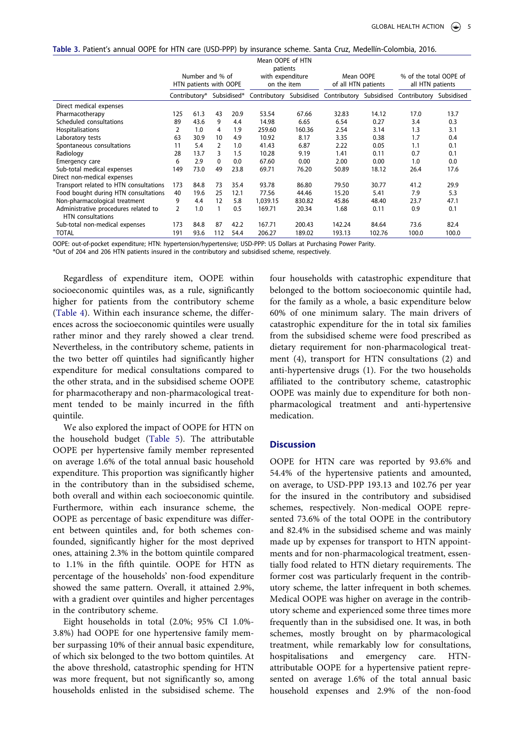<span id="page-5-0"></span>**Table 3.** Patient's annual OOPE for HTN care (USD-PPP) by insurance scheme. Santa Cruz, Medellín-Colombia, 2016.

|                                        |     | Number and % of<br>HTN patients with OOPE |     |      | Mean OOPE of HTN<br>patients<br>with expenditure<br>on the item |        | Mean OOPE<br>of all HTN patients                |        | % of the total OOPE of<br>all HTN patients |       |
|----------------------------------------|-----|-------------------------------------------|-----|------|-----------------------------------------------------------------|--------|-------------------------------------------------|--------|--------------------------------------------|-------|
|                                        |     | Contributory* Subsidised*                 |     |      |                                                                 |        | Contributory Subsidised Contributory Subsidised |        | Contributory Subsidised                    |       |
| Direct medical expenses                |     |                                           |     |      |                                                                 |        |                                                 |        |                                            |       |
| Pharmacotherapy                        | 125 | 61.3                                      | 43  | 20.9 | 53.54                                                           | 67.66  | 32.83                                           | 14.12  | 17.0                                       | 13.7  |
| Scheduled consultations                | 89  | 43.6                                      | 9   | 4.4  | 14.98                                                           | 6.65   | 6.54                                            | 0.27   | 3.4                                        | 0.3   |
| <b>Hospitalisations</b>                | 2   | 1.0                                       | 4   | 1.9  | 259.60                                                          | 160.36 | 2.54                                            | 3.14   | 1.3                                        | 3.1   |
| Laboratory tests                       | 63  | 30.9                                      | 10  | 4.9  | 10.92                                                           | 8.17   | 3.35                                            | 0.38   | 1.7                                        | 0.4   |
| Spontaneous consultations              | 11  | 5.4                                       | 2   | 1.0  | 41.43                                                           | 6.87   | 2.22                                            | 0.05   | 1.1                                        | 0.1   |
| Radiology                              | 28  | 13.7                                      | 3   | 1.5  | 10.28                                                           | 9.19   | 1.41                                            | 0.11   | 0.7                                        | 0.1   |
| Emergency care                         | 6   | 2.9                                       | 0   | 0.0  | 67.60                                                           | 0.00   | 2.00                                            | 0.00   | 1.0                                        | 0.0   |
| Sub-total medical expenses             | 149 | 73.0                                      | 49  | 23.8 | 69.71                                                           | 76.20  | 50.89                                           | 18.12  | 26.4                                       | 17.6  |
| Direct non-medical expenses            |     |                                           |     |      |                                                                 |        |                                                 |        |                                            |       |
| Transport related to HTN consultations | 173 | 84.8                                      | 73  | 35.4 | 93.78                                                           | 86.80  | 79.50                                           | 30.77  | 41.2                                       | 29.9  |
| Food bought during HTN consultations   | 40  | 19.6                                      | 25  | 12.1 | 77.56                                                           | 44.46  | 15.20                                           | 5.41   | 7.9                                        | 5.3   |
| Non-pharmacological treatment          | 9   | 4.4                                       | 12  | 5.8  | 1,039.15                                                        | 830.82 | 45.86                                           | 48.40  | 23.7                                       | 47.1  |
| Administrative procedures related to   | 2   | 1.0                                       | 1   | 0.5  | 169.71                                                          | 20.34  | 1.68                                            | 0.11   | 0.9                                        | 0.1   |
| HTN consultations                      |     |                                           |     |      |                                                                 |        |                                                 |        |                                            |       |
| Sub-total non-medical expenses         | 173 | 84.8                                      | 87  | 42.2 | 167.71                                                          | 200.43 | 142.24                                          | 84.64  | 73.6                                       | 82.4  |
| <b>TOTAL</b>                           | 191 | 93.6                                      | 112 | 54.4 | 206.27                                                          | 189.02 | 193.13                                          | 102.76 | 100.0                                      | 100.0 |

OOPE: out-of-pocket expenditure; HTN: hypertension/hypertensive; USD-PPP: US Dollars at Purchasing Power Parity.

\*Out of 204 and 206 HTN patients insured in the contributory and subsidised scheme, respectively.

Regardless of expenditure item, OOPE within socioeconomic quintiles was, as a rule, significantly higher for patients from the contributory scheme ([Table 4\)](#page-6-0). Within each insurance scheme, the differences across the socioeconomic quintiles were usually rather minor and they rarely showed a clear trend. Nevertheless, in the contributory scheme, patients in the two better off quintiles had significantly higher expenditure for medical consultations compared to the other strata, and in the subsidised scheme OOPE for pharmacotherapy and non-pharmacological treatment tended to be mainly incurred in the fifth quintile.

We also explored the impact of OOPE for HTN on the household budget [\(Table 5](#page-7-0)). The attributable OOPE per hypertensive family member represented on average 1.6% of the total annual basic household expenditure. This proportion was significantly higher in the contributory than in the subsidised scheme, both overall and within each socioeconomic quintile. Furthermore, within each insurance scheme, the OOPE as percentage of basic expenditure was different between quintiles and, for both schemes confounded, significantly higher for the most deprived ones, attaining 2.3% in the bottom quintile compared to 1.1% in the fifth quintile. OOPE for HTN as percentage of the households' non-food expenditure showed the same pattern. Overall, it attained 2.9%, with a gradient over quintiles and higher percentages in the contributory scheme.

Eight households in total (2.0%; 95% CI 1.0%- 3.8%) had OOPE for one hypertensive family member surpassing 10% of their annual basic expenditure, of which six belonged to the two bottom quintiles. At the above threshold, catastrophic spending for HTN was more frequent, but not significantly so, among households enlisted in the subsidised scheme. The

four households with catastrophic expenditure that belonged to the bottom socioeconomic quintile had, for the family as a whole, a basic expenditure below 60% of one minimum salary. The main drivers of catastrophic expenditure for the in total six families from the subsidised scheme were food prescribed as dietary requirement for non-pharmacological treatment (4), transport for HTN consultations (2) and anti-hypertensive drugs (1). For the two households affiliated to the contributory scheme, catastrophic OOPE was mainly due to expenditure for both nonpharmacological treatment and anti-hypertensive medication.

## **Discussion**

OOPE for HTN care was reported by 93.6% and 54.4% of the hypertensive patients and amounted, on average, to USD-PPP 193.13 and 102.76 per year for the insured in the contributory and subsidised schemes, respectively. Non-medical OOPE represented 73.6% of the total OOPE in the contributory and 82.4% in the subsidised scheme and was mainly made up by expenses for transport to HTN appointments and for non-pharmacological treatment, essentially food related to HTN dietary requirements. The former cost was particularly frequent in the contributory scheme, the latter infrequent in both schemes. Medical OOPE was higher on average in the contributory scheme and experienced some three times more frequently than in the subsidised one. It was, in both schemes, mostly brought on by pharmacological treatment, while remarkably low for consultations, hospitalisations and emergency care. HTNattributable OOPE for a hypertensive patient represented on average 1.6% of the total annual basic household expenses and 2.9% of the non-food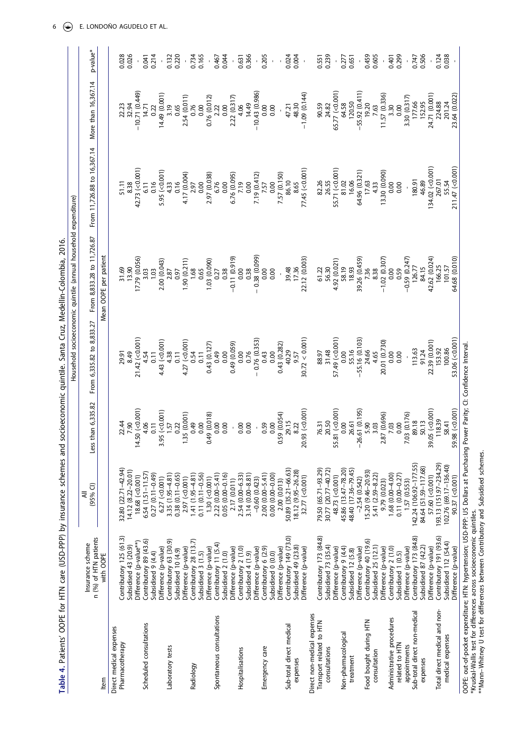<span id="page-6-0"></span>

|                                                                                         |                                                  |                                              |                                                                                                |                                                                    | Household socioeconomic quintile (annual household expenditure)                                                   |                                                                                                                                |                                                                                 |          |
|-----------------------------------------------------------------------------------------|--------------------------------------------------|----------------------------------------------|------------------------------------------------------------------------------------------------|--------------------------------------------------------------------|-------------------------------------------------------------------------------------------------------------------|--------------------------------------------------------------------------------------------------------------------------------|---------------------------------------------------------------------------------|----------|
|                                                                                         | n (%) of HTN patients<br>Insurance scheme        | $(95%$ Cl)<br>₹                              | than 6,335.82<br>Less                                                                          | From 6,335.82 to 8,833.27                                          | From 8,833.28 to 11,726.87                                                                                        | From 11,726.88 to 16,367.14                                                                                                    | More than 16,367.14                                                             | p-value* |
| Item                                                                                    | with OOPE                                        |                                              |                                                                                                |                                                                    | Mean OOPE per patient                                                                                             |                                                                                                                                |                                                                                 |          |
| Direct medical expenses                                                                 |                                                  |                                              |                                                                                                |                                                                    |                                                                                                                   |                                                                                                                                |                                                                                 |          |
| Pharmacotherapy                                                                         | Contributory 125 (61.3)                          | 32.80 (22.71-42.94)                          | $7.90\n7.90\n7.90\n7.90\n7.90\n7.90\n4.06\n4.06\n0.11\n0.22\n0.249\n0.35 (0.001)\n0.360\n0.00$ | 29.91<br>8.49                                                      | 31.69<br>13.90                                                                                                    | 51.11<br>8.38                                                                                                                  | $\begin{array}{c}\n 22.23 \\  32.94 \\  -10.71 (0.449) \\  14.71\n \end{array}$ | 0.028    |
|                                                                                         | Subsidised 43 (20.9)                             | 14.12 (8.22-20.01)                           |                                                                                                |                                                                    |                                                                                                                   |                                                                                                                                |                                                                                 | 0.026    |
| Scheduled consultations                                                                 | Contributory 89 (43.6)<br>Difference (p-value**) | $6.54(1.51 - 11.57)$<br>$18.68$ (< $0.001$ ) |                                                                                                |                                                                    | 17.79 (0.056)<br>3.03                                                                                             | $42.73$ (<0.001)<br>6.11                                                                                                       |                                                                                 | 0.041    |
|                                                                                         | Subsidised 9 (4.4)                               | $0.27(0.11 - 0.49)$                          |                                                                                                | $21.42$ (<0.001)<br>4.54<br>0.11                                   | 1.03                                                                                                              |                                                                                                                                | 0.22                                                                            | 0.214    |
|                                                                                         | Difference (p-value)                             | $6.27$ (<0.001)                              |                                                                                                |                                                                    |                                                                                                                   |                                                                                                                                |                                                                                 |          |
| Laboratory tests                                                                        | Contributory 63 (30.9)                           | $3.35(1.95 - 4.81)$                          |                                                                                                |                                                                    |                                                                                                                   |                                                                                                                                |                                                                                 | 0.132    |
|                                                                                         | Subsidised 10 (4.9)                              | $0.38(0.11 - 0.65)$                          |                                                                                                | 4.43 $(20.001)$<br>4.38<br>0.11<br>4.27 $(20.001)$<br>0.54<br>0.54 | $2.00 (0.043)$<br>$2.87$<br>$0.97$                                                                                | $\begin{array}{c} 0.16 \\ 5.95 (\textcolor{red}{<}0.001) \\ 4.33 \\ 0.16 \\ 4.17 \textcolor{red}{(0.004)} \\ 2.97 \end{array}$ | $14.49(0.001)$<br>$3.19$<br>$0.65$                                              | 0.220    |
|                                                                                         | Difference (p-value)                             | $2.97$ (<0.001)                              |                                                                                                |                                                                    |                                                                                                                   |                                                                                                                                | 2.54 (0.011)                                                                    |          |
| Radiology                                                                               | Contributory 28 (13.7)                           | $1.41(1.95 - 4.81)$                          |                                                                                                |                                                                    | $1.90(0.211)$<br>$1.68$<br>0.65                                                                                   |                                                                                                                                | 0.76<br>0.00                                                                    | 0.734    |
|                                                                                         | Subsidised 3 (1.5)                               | $0.11(0.11 - 0.56)$                          |                                                                                                |                                                                    |                                                                                                                   | 0.00                                                                                                                           |                                                                                 | 0.165    |
|                                                                                         | Difference (p-value)                             | 1.30 (< 0.001)                               | $0.49$ $(0.018)$<br>$0.00$                                                                     | 0.43 (0.127)                                                       | $1.03(0.090)$<br>$0.27$                                                                                           | $2.97(0.038)$<br>$6.76$                                                                                                        | $0.76$ (0.012)<br>2.22<br>0.00                                                  |          |
| Spontaneous consultations                                                               | Contributory 11 (5.4)                            | $2.22(0.00 - 5.41)$                          |                                                                                                | 64.0                                                               |                                                                                                                   |                                                                                                                                |                                                                                 | 0.467    |
|                                                                                         | Subsidised 2 (1.0)                               | $0.05(0.00-0.16)$                            | 0.00                                                                                           | 0.00                                                               |                                                                                                                   | 0.00                                                                                                                           |                                                                                 | 0.044    |
|                                                                                         | Difference (p-value)                             | 2.17 (0.011)                                 |                                                                                                | $0.49(0.059)$<br>$0.00$                                            |                                                                                                                   | $6.76(0.095)$<br>$7.19$                                                                                                        |                                                                                 |          |
| Hospitalisations                                                                        | Contributory 2 (1.0)                             | 2.54 (0.00-6.33)                             | 0.00                                                                                           |                                                                    | $\begin{array}{r} 0.38 \\ -0.11 \ (0.919) \\ 0.00 \\ 0.38 \\ -0.38 \ (0.099) \\ 0.00 \\ 0.00 \\ 0.00 \end{array}$ |                                                                                                                                | $2.22(0.317)$<br>4.06                                                           | 0.631    |
|                                                                                         | Subsidised 4 (1.9)                               | $3.14(0.00 - 8.81)$                          | 0.00                                                                                           |                                                                    |                                                                                                                   | 0.00                                                                                                                           |                                                                                 | 0.366    |
|                                                                                         | Difference (p-value)                             | $-0.60(0.423)$                               |                                                                                                | $\begin{array}{c} 0.76 \ -0.76 \ (0.353) \ 0.43 \end{array}$       |                                                                                                                   |                                                                                                                                | $\begin{array}{c} 14.49 \\ -10.43 & (0.986) \\ 0.00 & 0.0 \end{array}$          |          |
| Emergency care                                                                          | Contributory 6 (2.9)                             | $2.00(0.00 - 5.41)$                          |                                                                                                |                                                                    |                                                                                                                   |                                                                                                                                |                                                                                 | 0.205    |
|                                                                                         | Subsidised 0 (0.0)                               | $0.00(0.00-0.00)$                            | $0.59$<br>$0.00$<br>$0.00$<br>$0.054$<br>$29.15$<br>$8.22$<br>$8.22$<br>$20.93$ (<0.001)       | $0.00$<br>$0.43(0.282)$                                            |                                                                                                                   | 7.19 (0.412)<br>7.57<br>0.00<br>7.57 (0.150)                                                                                   |                                                                                 |          |
|                                                                                         | Difference (p-value)                             | 2.00 (0.013)                                 |                                                                                                |                                                                    |                                                                                                                   |                                                                                                                                |                                                                                 |          |
| Sub-total direct medical                                                                | Contributory 149 (73.0)                          | 50.89 (35.21-66.63)                          |                                                                                                | 40.29<br>9.57                                                      |                                                                                                                   |                                                                                                                                |                                                                                 | 0.024    |
| expenses                                                                                | Subsidised 49 (23.8)                             | 18.12 (9.95-26.28)                           |                                                                                                |                                                                    | $\begin{array}{c} 39.48 \\ 17.36 \\ 22.12 \ (0.003) \end{array}$                                                  | $\frac{86.10}{8.65}$<br>77.45 (<0.001)                                                                                         | $47.21$<br>$48.30$<br>$-1.09$ (0.144)                                           | 0.004    |
|                                                                                         | Difference (p-value)                             | 32.77 (<0.001)                               |                                                                                                | 30.72 < 0.001                                                      |                                                                                                                   |                                                                                                                                |                                                                                 |          |
| Direct non-medical expenses                                                             |                                                  |                                              |                                                                                                |                                                                    |                                                                                                                   |                                                                                                                                |                                                                                 |          |
| Transport related to HTN                                                                | Contributory 173 (84.8)                          | 79.50 (65.71-93.29)                          |                                                                                                |                                                                    | 61.22                                                                                                             | 82.26<br>26.55                                                                                                                 |                                                                                 | 0.551    |
| consultations                                                                           | Subsidised 73 (35.4)                             | 30.77 (20.77-40.72)                          | $\begin{array}{c} 76.31 \\ 20.50 \\ 55.81 \; (<\!0.001) \\ 0.00 \end{array}$                   | 88.97<br>31.48<br>57.49 (<0.001)<br>0.00                           |                                                                                                                   |                                                                                                                                |                                                                                 | 0.239    |
|                                                                                         | Difference (p-value)                             | 48.73 (< 0.001)                              |                                                                                                |                                                                    | 4.92 (0.021)<br>58.19                                                                                             | $55.71~(<0.001)$<br>$81.02$                                                                                                    |                                                                                 |          |
| Non-pharmacological                                                                     | Contributory 9 (4.4)                             | 45.86 (13.47-78.20)                          |                                                                                                | $-55.16$<br>$-55.16$ (0.103)<br>$24.66$<br>$24.66$                 |                                                                                                                   |                                                                                                                                | 90.59<br>24.82<br>65.77 (<0.001)<br>64.58                                       | 0.277    |
| treatment                                                                               | Subsidised 12 (5.8)                              | 48.40 (17.36-79.45)                          | 26.61                                                                                          |                                                                    |                                                                                                                   | 16.06                                                                                                                          | $120.50$<br>-55.92 (0.411)                                                      | 0.651    |
|                                                                                         | Difference (p-value)                             | $-2.54(0.542)$                               | $-26.61(0.195)$                                                                                |                                                                    | $18.93$<br>39.26 (0.459)<br>7.36                                                                                  | 64.96 (0.321)                                                                                                                  |                                                                                 |          |
| Food bought during HTN                                                                  | Contributory 40 (19.6)                           | 15.20 (9.46-20.93)                           | 5.90                                                                                           |                                                                    |                                                                                                                   | 17.63<br>4.33                                                                                                                  | 19.20                                                                           | 0.459    |
| consultation                                                                            | Subsidised 25 (12.1)                             | 5.41 (2.59-8.22)                             | 3.03                                                                                           |                                                                    | 8.38                                                                                                              |                                                                                                                                | 7.63                                                                            | 0.605    |
|                                                                                         | Difference (p-value)                             | 9.79 (0.023)                                 | $2.87(0.696)$<br>$7.03$                                                                        | 20.01 (0.730)<br>0.00                                              | $\begin{array}{r} -1.02\ (0.307) \\ 0.00 \\ 0.59 \end{array}$                                                     | $13.30(0.090)$<br>$0.00$                                                                                                       | $\begin{array}{c} 11.57 \ (0.336) \\ 3.30 \\ 0.00 \end{array}$                  |          |
| Administrative procedures                                                               | Contributory 2 (1.0)                             | $1.68(0.00 - 4.00)$                          |                                                                                                |                                                                    |                                                                                                                   |                                                                                                                                |                                                                                 | 0.401    |
| related to HTN                                                                          | Subsidised 1 (0.5)                               | $0.11(0.00 - 0.27)$                          | 0.00                                                                                           | 0.00                                                               |                                                                                                                   | 0.00                                                                                                                           |                                                                                 | 0.299    |
| appointments                                                                            | Difference (p-value)                             | 1.57 (0.553)                                 | .03 (0.176)                                                                                    |                                                                    | $-0.59$ $(0.247)$                                                                                                 |                                                                                                                                | 3.30 (0.317)                                                                    |          |
| Sub-total direct non-medical                                                            | Contributory 173 (84.8)                          | 142.24 (106.92-177.55)                       | 89.18                                                                                          | 113.63                                                             | 126.77                                                                                                            | 180.91                                                                                                                         | 177.66<br>152.95                                                                | 0.747    |
| expenses                                                                                | Subsidised 87 (42.2)                             | 84.64 (51.59-117.68)                         | $50.13$<br>$39.05 (<0.001)$                                                                    | 91.24                                                              | 84.15                                                                                                             | 46.89                                                                                                                          |                                                                                 | 0.506    |
|                                                                                         | Difference (p-value)                             | 57.60 (<0.001)                               |                                                                                                | 22.39 (0.001)                                                      | 42.62 (0.024)                                                                                                     | $134.02~(\leq 0.001)$ $267.01$                                                                                                 | 24.71 (0.001)<br>224.88                                                         |          |
| Total direct medical and non-                                                           | Contributory 191 (93.6)                          | 193.13 (151.97-234.29)                       | 118.39                                                                                         | 153.92                                                             | 166.25                                                                                                            | 55.54                                                                                                                          |                                                                                 | 0.124    |
| medical expenses                                                                        | Subsidised 112 (54.4)                            | 102.76 (69.17-136.40)                        | 58.41                                                                                          | 100.86                                                             | 101.57<br>64.68 (0.010)                                                                                           |                                                                                                                                | 201.24<br>23.64 (0.022)                                                         | 0.038    |
|                                                                                         | Difference (p-value)                             | $90.37$ (< $0.001$ )                         | $.98 (-0.001)$<br>59                                                                           | 53.06 (<0.001)                                                     |                                                                                                                   | 211.47 (<0.001)                                                                                                                |                                                                                 |          |
| OOPE: out-of-pocket expenditure; HTN: hypertension; USD-PPP: US Dollars at Purchasing P |                                                  |                                              |                                                                                                | ower Parity; CI: Confidence Interval                               |                                                                                                                   |                                                                                                                                |                                                                                 |          |
| *Kruskal-Wallis test for differences across socioeconomic quintiles.                    |                                                  |                                              |                                                                                                |                                                                    |                                                                                                                   |                                                                                                                                |                                                                                 |          |
| **Mann-Whitney U test for differences between Contributory and Subsidised schemes.      |                                                  |                                              |                                                                                                |                                                                    |                                                                                                                   |                                                                                                                                |                                                                                 |          |

Table 4. Patients' OOPE for HTN care (USD-PPP) by insurance schemes and socioeconomic quintile. Santa Cruz, Medellin-Colombia, 2016. **Table 4.** Patients' OOPE for HTN care (USD-PPP) by insurance schemes and socioeconomic quintile. Santa Cruz, Medellin-Colombia, 2016.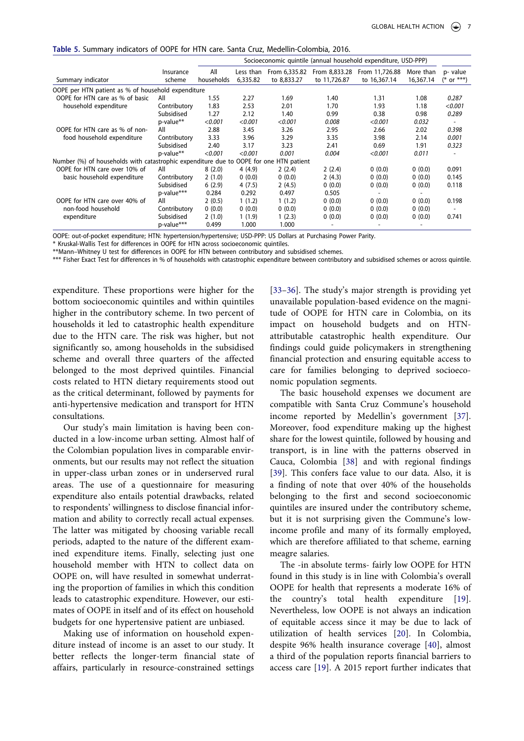<span id="page-7-0"></span>**Table 5.** Summary indicators of OOPE for HTN care. Santa Cruz, Medellin-Colombia, 2016.

|                                                                            |                     |                   |                       |                              |                               | Socioeconomic quintile (annual household expenditure, USD-PPP) |                        |                          |
|----------------------------------------------------------------------------|---------------------|-------------------|-----------------------|------------------------------|-------------------------------|----------------------------------------------------------------|------------------------|--------------------------|
| Summary indicator                                                          | Insurance<br>scheme | All<br>households | Less than<br>6,335.82 | From 6,335.82<br>to 8,833.27 | From 8,833.28<br>to 11,726.87 | From 11,726.88<br>to 16,367.14                                 | More than<br>16,367.14 | p- value<br>$(* or ***)$ |
| OOPE per HTN patient as % of household expenditure                         |                     |                   |                       |                              |                               |                                                                |                        |                          |
| OOPE for HTN care as % of basic                                            | All                 | 1.55              | 2.27                  | 1.69                         | 1.40                          | 1.31                                                           | 1.08                   | 0.287                    |
| household expenditure                                                      | Contributory        | 1.83              | 2.53                  | 2.01                         | 1.70                          | 1.93                                                           | 1.18                   | < 0.001                  |
|                                                                            | Subsidised          | 1.27              | 2.12                  | 1.40                         | 0.99                          | 0.38                                                           | 0.98                   | 0.289                    |
|                                                                            | p-value**           | < 0.001           | < 0.001               | < 0.001                      | 0.008                         | < 0.001                                                        | 0.032                  |                          |
| OOPE for HTN care as % of non-                                             | All                 | 2.88              | 3.45                  | 3.26                         | 2.95                          | 2.66                                                           | 2.02                   | 0.398                    |
| food household expenditure                                                 | Contributory        | 3.33              | 3.96                  | 3.29                         | 3.35                          | 3.98                                                           | 2.14                   | 0.001                    |
|                                                                            | Subsidised          | 2.40              | 3.17                  | 3.23                         | 2.41                          | 0.69                                                           | 1.91                   | 0.323                    |
|                                                                            | p-value**           | < 0.001           | < 0.001               | 0.001                        | 0.004                         | < 0.001                                                        | 0.011                  |                          |
| Number (%) of households with catastrophic expenditure due to OOPE for one |                     |                   |                       | HTN patient                  |                               |                                                                |                        |                          |
| OOPE for HTN care over 10% of                                              | All                 | 8(2.0)            | 4(4.9)                | 2(2.4)                       | 2(2.4)                        | 0(0.0)                                                         | 0(0.0)                 | 0.091                    |
| basic household expenditure                                                | Contributory        | 2(1.0)            | 0(0.0)                | 0(0.0)                       | 2(4.3)                        | 0(0.0)                                                         | 0(0.0)                 | 0.145                    |
|                                                                            | Subsidised          | 6(2.9)            | 4(7.5)                | 2(4.5)                       | 0(0.0)                        | 0(0.0)                                                         | 0(0.0)                 | 0.118                    |
|                                                                            | p-value***          | 0.284             | 0.292                 | 0.497                        | 0.505                         | $\qquad \qquad \blacksquare$                                   |                        |                          |
| OOPE for HTN care over 40% of                                              | All                 | 2(0.5)            | 1(1.2)                | 1(1.2)                       | 0(0.0)                        | 0(0.0)                                                         | 0(0.0)                 | 0.198                    |
| non-food household                                                         | Contributory        | 0(0.0)            | 0(0.0)                | 0(0.0)                       | 0(0.0)                        | 0(0.0)                                                         | 0(0.0)                 |                          |
| expenditure                                                                | Subsidised          | 2(1.0)            | 1(1.9)                | 1(2.3)                       | 0(0.0)                        | 0(0.0)                                                         | 0(0.0)                 | 0.741                    |
|                                                                            | p-value***          | 0.499             | 1.000                 | 1.000                        |                               |                                                                |                        |                          |

OOPE: out-of-pocket expenditure; HTN: hypertension/hypertensive; USD-PPP: US Dollars at Purchasing Power Parity.

\* Kruskal-Wallis Test for differences in OOPE for HTN across socioeconomic quintiles.

\*\*Mann–Whitney U test for differences in OOPE for HTN between contributory and subsidised schemes.

\*\*\* Fisher Exact Test for differences in % of households with catastrophic expenditure between contributory and subsidised schemes or across quintile.

expenditure. These proportions were higher for the bottom socioeconomic quintiles and within quintiles higher in the contributory scheme. In two percent of households it led to catastrophic health expenditure due to the HTN care. The risk was higher, but not significantly so, among households in the subsidised scheme and overall three quarters of the affected belonged to the most deprived quintiles. Financial costs related to HTN dietary requirements stood out as the critical determinant, followed by payments for anti-hypertensive medication and transport for HTN consultations.

Our study's main limitation is having been conducted in a low-income urban setting. Almost half of the Colombian population lives in comparable environments, but our results may not reflect the situation in upper-class urban zones or in underserved rural areas. The use of a questionnaire for measuring expenditure also entails potential drawbacks, related to respondents' willingness to disclose financial information and ability to correctly recall actual expenses. The latter was mitigated by choosing variable recall periods, adapted to the nature of the different examined expenditure items. Finally, selecting just one household member with HTN to collect data on OOPE on, will have resulted in somewhat underrating the proportion of families in which this condition leads to catastrophic expenditure. However, our estimates of OOPE in itself and of its effect on household budgets for one hypertensive patient are unbiased.

Making use of information on household expenditure instead of income is an asset to our study. It better reflects the longer-term financial state of affairs, particularly in resource-constrained settings <span id="page-7-1"></span>[\[33](#page-10-19)–[36\]](#page-10-20). The study's major strength is providing yet unavailable population-based evidence on the magnitude of OOPE for HTN care in Colombia, on its impact on household budgets and on HTNattributable catastrophic health expenditure. Our findings could guide policymakers in strengthening financial protection and ensuring equitable access to care for families belonging to deprived socioeconomic population segments.

<span id="page-7-4"></span><span id="page-7-3"></span><span id="page-7-2"></span>The basic household expenses we document are compatible with Santa Cruz Commune's household income reported by Medellin's government [\[37](#page-10-21)]. Moreover, food expenditure making up the highest share for the lowest quintile, followed by housing and transport, is in line with the patterns observed in Cauca, Colombia [[38](#page-11-0)] and with regional findings [\[39](#page-11-1)]. This confers face value to our data. Also, it is a finding of note that over 40% of the households belonging to the first and second socioeconomic quintiles are insured under the contributory scheme, but it is not surprising given the Commune's lowincome profile and many of its formally employed, which are therefore affiliated to that scheme, earning meagre salaries.

<span id="page-7-5"></span>The -in absolute terms- fairly low OOPE for HTN found in this study is in line with Colombia's overall OOPE for health that represents a moderate 16% of the country's total health expenditure [\[19](#page-10-6)]. Nevertheless, low OOPE is not always an indication of equitable access since it may be due to lack of utilization of health services [[20\]](#page-10-7). In Colombia, despite 96% health insurance coverage [\[40](#page-11-2)], almost a third of the population reports financial barriers to access care [\[19](#page-10-6)]. A 2015 report further indicates that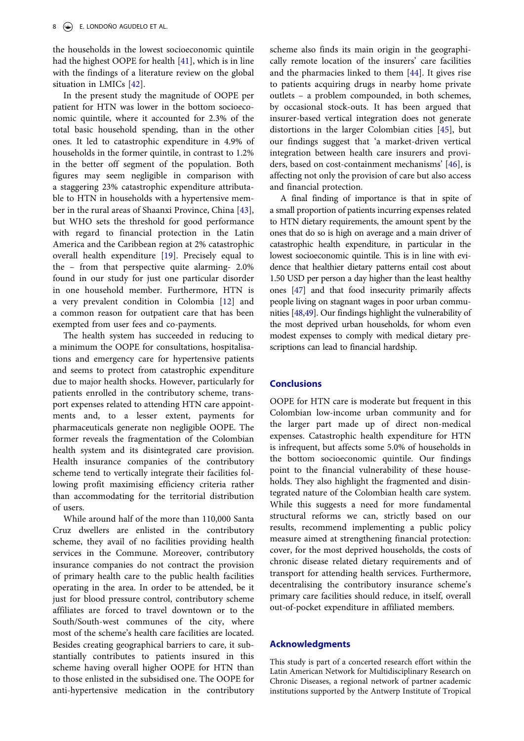<span id="page-8-0"></span>the households in the lowest socioeconomic quintile had the highest OOPE for health [\[41](#page-11-3)], which is in line with the findings of a literature review on the global situation in LMICs [\[42](#page-11-4)].

<span id="page-8-2"></span><span id="page-8-1"></span>In the present study the magnitude of OOPE per patient for HTN was lower in the bottom socioeconomic quintile, where it accounted for 2.3% of the total basic household spending, than in the other ones. It led to catastrophic expenditure in 4.9% of households in the former quintile, in contrast to 1.2% in the better off segment of the population. Both figures may seem negligible in comparison with a staggering 23% catastrophic expenditure attributable to HTN in households with a hypertensive member in the rural areas of Shaanxi Province, China [[43\]](#page-11-5), but WHO sets the threshold for good performance with regard to financial protection in the Latin America and the Caribbean region at 2% catastrophic overall health expenditure [\[19](#page-10-6)]. Precisely equal to the – from that perspective quite alarming- 2.0% found in our study for just one particular disorder in one household member. Furthermore, HTN is a very prevalent condition in Colombia [\[12](#page-9-9)] and a common reason for outpatient care that has been exempted from user fees and co-payments.

The health system has succeeded in reducing to a minimum the OOPE for consultations, hospitalisations and emergency care for hypertensive patients and seems to protect from catastrophic expenditure due to major health shocks. However, particularly for patients enrolled in the contributory scheme, transport expenses related to attending HTN care appointments and, to a lesser extent, payments for pharmaceuticals generate non negligible OOPE. The former reveals the fragmentation of the Colombian health system and its disintegrated care provision. Health insurance companies of the contributory scheme tend to vertically integrate their facilities following profit maximising efficiency criteria rather than accommodating for the territorial distribution of users.

While around half of the more than 110,000 Santa Cruz dwellers are enlisted in the contributory scheme, they avail of no facilities providing health services in the Commune. Moreover, contributory insurance companies do not contract the provision of primary health care to the public health facilities operating in the area. In order to be attended, be it just for blood pressure control, contributory scheme affiliates are forced to travel downtown or to the South/South-west communes of the city, where most of the scheme's health care facilities are located. Besides creating geographical barriers to care, it substantially contributes to patients insured in this scheme having overall higher OOPE for HTN than to those enlisted in the subsidised one. The OOPE for anti-hypertensive medication in the contributory <span id="page-8-3"></span>scheme also finds its main origin in the geographically remote location of the insurers' care facilities and the pharmacies linked to them [[44\]](#page-11-6). It gives rise to patients acquiring drugs in nearby home private outlets – a problem compounded, in both schemes, by occasional stock-outs. It has been argued that insurer-based vertical integration does not generate distortions in the larger Colombian cities [\[45](#page-11-7)], but our findings suggest that 'a market-driven vertical integration between health care insurers and providers, based on cost-containment mechanisms' [[46\]](#page-11-8), is affecting not only the provision of care but also access and financial protection.

<span id="page-8-6"></span><span id="page-8-5"></span><span id="page-8-4"></span>A final finding of importance is that in spite of a small proportion of patients incurring expenses related to HTN dietary requirements, the amount spent by the ones that do so is high on average and a main driver of catastrophic health expenditure, in particular in the lowest socioeconomic quintile. This is in line with evidence that healthier dietary patterns entail cost about 1.50 USD per person a day higher than the least healthy ones [\[47](#page-11-9)] and that food insecurity primarily affects people living on stagnant wages in poor urban communities [\[48](#page-11-10)[,49](#page-11-11)]. Our findings highlight the vulnerability of the most deprived urban households, for whom even modest expenses to comply with medical dietary prescriptions can lead to financial hardship.

## <span id="page-8-7"></span>**Conclusions**

OOPE for HTN care is moderate but frequent in this Colombian low-income urban community and for the larger part made up of direct non-medical expenses. Catastrophic health expenditure for HTN is infrequent, but affects some 5.0% of households in the bottom socioeconomic quintile. Our findings point to the financial vulnerability of these households. They also highlight the fragmented and disintegrated nature of the Colombian health care system. While this suggests a need for more fundamental structural reforms we can, strictly based on our results, recommend implementing a public policy measure aimed at strengthening financial protection: cover, for the most deprived households, the costs of chronic disease related dietary requirements and of transport for attending health services. Furthermore, decentralising the contributory insurance scheme's primary care facilities should reduce, in itself, overall out-of-pocket expenditure in affiliated members.

## **Acknowledgments**

This study is part of a concerted research effort within the Latin American Network for Multidisciplinary Research on Chronic Diseases, a regional network of partner academic institutions supported by the Antwerp Institute of Tropical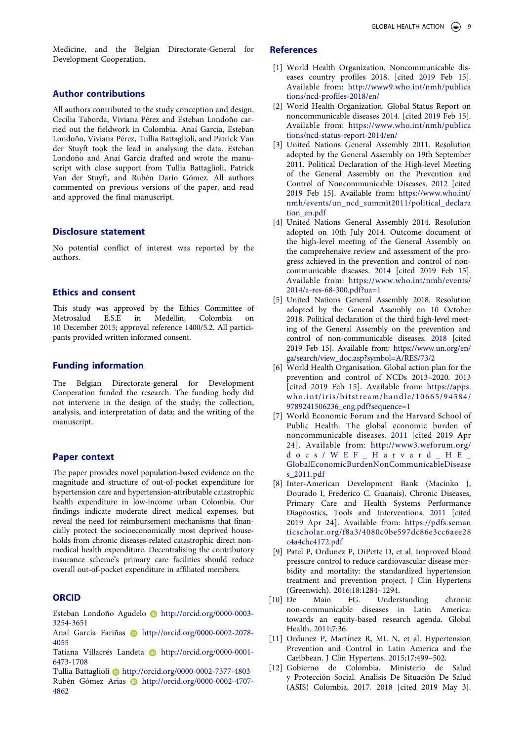Medicine, and the Belgian Directorate-General for Development Cooperation.

## **Author contributions**

All authors contributed to the study conception and design. Cecilia Taborda, Viviana Pérez and Esteban Londoño carried out the fieldwork in Colombia. Anaí García, Esteban Londoño, Viviana Pérez, Tullia Battaglioli, and Patrick Van der Stuyft took the lead in analysing the data. Esteban Londoño and Anaí García drafted and wrote the manuscript with close support from Tullia Battaglioli, Patrick Van der Stuyft, and Rubén Darío Gómez. All authors commented on previous versions of the paper, and read and approved the final manuscript.

## **Disclosure statement**

No potential conflict of interest was reported by the authors.

## **Ethics and consent**

This study was approved by the Ethics Committee of Metrosalud E.S.E in Medellin, Colombia on 10 December 2015; approval reference 1400/5.2. All participants provided written informed consent.

## **Funding information**

The Belgian Directorate-general for Development Cooperation funded the research. The funding body did not intervene in the design of the study; the collection, analysis, and interpretation of data; and the writing of the manuscript.

## **Paper context**

The paper provides novel population-based evidence on the magnitude and structure of out-of-pocket expenditure for hypertension care and hypertension-attributable catastrophic health expenditure in low-income urban Colombia. Our findings indicate moderate direct medical expenses, but reveal the need for reimbursement mechanisms that financially protect the socioeconomically most deprived households from chronic diseases-related catastrophic direct nonmedical health expenditure. Decentralising the contributory insurance scheme's primary care facilities should reduce overall out-of-pocket expenditure in affiliated members.

## **ORCID**

Esteban Londoño Agudelo http://orcid.org/0000-0003- 3254-3651

Anaí García Fariñas **http://orcid.org/0000-0002-2078-**4055

Tatiana Villacrés Landeta D http://orcid.org/0000-0001-6473-1708

Tullia Battaglioli http://orcid.org/0000-0002-7377-4803 Rubén Gómez Arias **http://orcid.org/0000-0002-4707-**4862

## **References**

- <span id="page-9-0"></span>[1] World Health Organization. Noncommunicable diseases country profiles 2018. [cited [2019](#page-1-5) Feb 15]. Available from: [http://www9.who.int/nmh/publica](http://www9.who.int/nmh/publications/ncd-profiles-2018/en/)  [tions/ncd-profiles-2018/en/](http://www9.who.int/nmh/publications/ncd-profiles-2018/en/)
- <span id="page-9-1"></span>[2] World Health Organization. Global Status Report on noncommunicable diseases 2014. [cited [2019](#page-1-6) Feb 15]. Available from: [https://www.who.int/nmh/publica](https://www.who.int/nmh/publications/ncd-status-report-2014/en/)  [tions/ncd-status-report-2014/en/](https://www.who.int/nmh/publications/ncd-status-report-2014/en/)
- <span id="page-9-2"></span>[3] United Nations General Assembly 2011. Resolution adopted by the General Assembly on 19th September 2011. Political Declaration of the High-level Meeting of the General Assembly on the Prevention and Control of Noncommunicable Diseases. [2012](#page-1-7) [cited 2019 Feb 15]. Available from: [https://www.who.int/](https://www.who.int/nmh/events/un_ncd_summit2011/political_declaration_en.pdf) [nmh/events/un\\_ncd\\_summit2011/political\\_declara](https://www.who.int/nmh/events/un_ncd_summit2011/political_declaration_en.pdf)  [tion\\_en.pdf](https://www.who.int/nmh/events/un_ncd_summit2011/political_declaration_en.pdf)
- [4] United Nations General Assembly 2014. Resolution adopted on 10th July 2014. Outcome document of the high-level meeting of the General Assembly on the comprehensive review and assessment of the progress achieved in the prevention and control of noncommunicable diseases. 2014 [cited 2019 Feb 15]. Available from: [https://www.who.int/nmh/events/](https://www.who.int/nmh/events/2014/a-res-68-300.pdf?ua=1)  [2014/a-res-68-300.pdf?ua=1](https://www.who.int/nmh/events/2014/a-res-68-300.pdf?ua=1)
- <span id="page-9-3"></span>[5] United Nations General Assembly 2018. Resolution adopted by the General Assembly on 10 October 2018. Political declaration of the third high-level meeting of the General Assembly on the prevention and control of non-communicable diseases. [2018](#page-1-7) [cited 2019 Feb 15]. Available from: [https://www.un.org/en/](https://www.un.org/en/ga/search/view_doc.asp?symbol=A/RES/73/2) [ga/search/view\\_doc.asp?symbol=A/RES/73/2](https://www.un.org/en/ga/search/view_doc.asp?symbol=A/RES/73/2)
- <span id="page-9-4"></span>[6] World Health Organisation. Global action plan for the prevention and control of NCDs 2013–2020. [2013](#page-1-8) [cited 2019 Feb 15]. Available from: [https://apps.](https://apps.who.int/iris/bitstream/handle/10665/94384/9789241506236_eng.pdf?sequence=1) [who.int/iris/bitstream/handle/10665/94384/](https://apps.who.int/iris/bitstream/handle/10665/94384/9789241506236_eng.pdf?sequence=1) [9789241506236\\_eng.pdf?sequence=1](https://apps.who.int/iris/bitstream/handle/10665/94384/9789241506236_eng.pdf?sequence=1)
- <span id="page-9-10"></span>[7] World Economic Forum and the Harvard School of Public Health. The global economic burden of noncommunicable diseases. [2011](#page-2-0) [cited 2019 Apr 24]. Available from: [http://www3.weforum.org/](http://www3.weforum.org/docs/WEF_Harvard_HE_GlobalEconomicBurdenNonCommunicableDiseases_2011.pdf)  [docs/WEF\\_Harvard\\_HE\\_](http://www3.weforum.org/docs/WEF_Harvard_HE_GlobalEconomicBurdenNonCommunicableDiseases_2011.pdf) [GlobalEconomicBurdenNonCommunicableDisease](http://www3.weforum.org/docs/WEF_Harvard_HE_GlobalEconomicBurdenNonCommunicableDiseases_2011.pdf)  [s\\_2011.pdf](http://www3.weforum.org/docs/WEF_Harvard_HE_GlobalEconomicBurdenNonCommunicableDiseases_2011.pdf)
- <span id="page-9-5"></span>[8] Inter-American Development Bank (Macinko J, Dourado I, Frederico C. Guanais). Chronic Diseases, Primary Care and Health Systems Performance Diagnostics, Tools and Interventions. [2011](#page-1-8) [cited 2019 Apr 24]. Available from: [https://pdfs.seman](https://pdfs.semanticscholar.org/f8a3/4080c0be597dc86e3cc6aee28c4a4cbc4172.pdf)  [ticscholar.org/f8a3/4080c0be597dc86e3cc6aee28](https://pdfs.semanticscholar.org/f8a3/4080c0be597dc86e3cc6aee28c4a4cbc4172.pdf)  [c4a4cbc4172.pdf](https://pdfs.semanticscholar.org/f8a3/4080c0be597dc86e3cc6aee28c4a4cbc4172.pdf)
- <span id="page-9-6"></span>[9] Patel P, Ordunez P, DiPette D, et al. Improved blood pressure control to reduce cardiovascular disease morbidity and mortality: the standardized hypertension treatment and prevention project. J Clin Hypertens (Greenwich). [2016](#page-1-9);18:1284–1294.
- <span id="page-9-7"></span>[10] De Maio FG. Understanding chronic non-communicable diseases in Latin America: towards an equity-based research agenda. Global Health. [2011](#page-1-10);7:36.
- <span id="page-9-8"></span>[11] Ordunez P, Martinez R, ML N, et al. Hypertension Prevention and Control in Latin America and the Caribbean. J Clin Hypertens. [2015;](#page-2-1)17:499–502.
- <span id="page-9-9"></span>[12] Gobierno de Colombia. Ministerio de Salud y Protección Social. Analisis De Situación De Salud (ASIS) Colombia, 2017. [2018](#page-2-2) [cited 2019 May 3].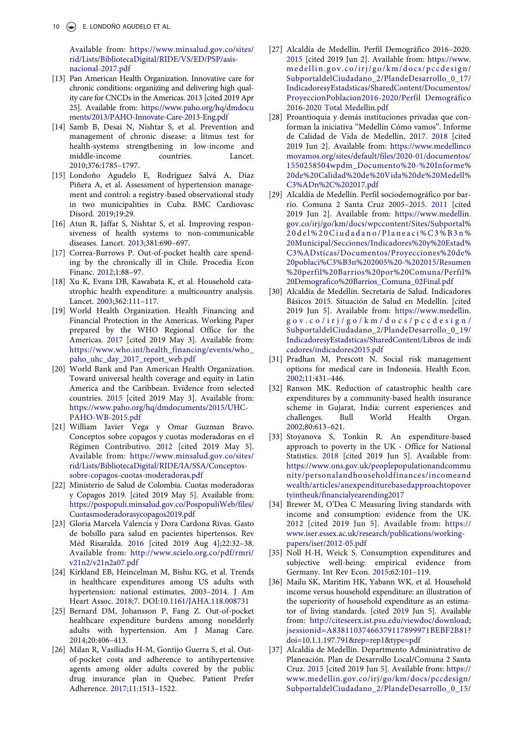Available from: [https://www.minsalud.gov.co/sites/](https://www.minsalud.gov.co/sites/rid/Lists/BibliotecaDigital/RIDE/VS/ED/PSP/asis-nacional-2017.pdf)  [rid/Lists/BibliotecaDigital/RIDE/VS/ED/PSP/asis](https://www.minsalud.gov.co/sites/rid/Lists/BibliotecaDigital/RIDE/VS/ED/PSP/asis-nacional-2017.pdf)[nacional-2017.pdf](https://www.minsalud.gov.co/sites/rid/Lists/BibliotecaDigital/RIDE/VS/ED/PSP/asis-nacional-2017.pdf)

- <span id="page-10-0"></span>[13] Pan American Health Organization. Innovative care for chronic conditions: organizing and delivering high quality care for CNCDs in the Americas. [2013](#page-2-3) [cited 2019 Apr 25]. Available from: [https://www.paho.org/hq/dmdocu](https://www.paho.org/hq/dmdocuments/2013/PAHO-Innovate-Care-2013-Eng.pdf)  [ments/2013/PAHO-Innovate-Care-2013-Eng.pdf](https://www.paho.org/hq/dmdocuments/2013/PAHO-Innovate-Care-2013-Eng.pdf)
- <span id="page-10-1"></span>[14] Samb B, Desai N, Nishtar S, et al. Prevention and management of chronic disease: a litmus test for health-systems strengthening in low-income and middle-income countries. Lancet. [2010](#page-2-3);376:1785–1797.
- <span id="page-10-2"></span>[15] Londoño Agudelo E, Rodríguez Salvá A, Díaz Piñera A, et al. Assessment of hypertension management and control: a registry-based observational study in two municipalities in Cuba. BMC Cardiovasc Disord. [2019;](#page-2-4)19:29.
- <span id="page-10-3"></span>[16] Atun R, Jaffar S, Nishtar S, et al. Improving responsiveness of health systems to non-communicable diseases. Lancet. [2013;](#page-2-0)381:690–697.
- <span id="page-10-4"></span>[17] Correa-Burrows P. Out-of-pocket health care spending by the chronically ill in Chile. Procedia Econ Financ. [2012;](#page-2-5)1:88–97.
- <span id="page-10-5"></span>[18] Xu K, Evans DB, Kawabata K, et al. Household catastrophic health expenditure: a multicountry analysis. Lancet. [2003;](#page-2-5)362:111–117.
- <span id="page-10-6"></span>[19] World Health Organization. Health Financing and Financial Protection in the Americas. Working Paper prepared by the WHO Regional Office for the Americas. [2017](#page-2-6) [cited 2019 May 3]. Available from: [https://www.who.int/health\\_financing/events/who\\_](https://www.who.int/health_financing/events/who_paho_uhc_day_2017_report_web.pdf)  [paho\\_uhc\\_day\\_2017\\_report\\_web.pdf](https://www.who.int/health_financing/events/who_paho_uhc_day_2017_report_web.pdf)
- <span id="page-10-7"></span>[20] World Bank and Pan American Health Organization. Toward universal health coverage and equity in Latin America and the Caribbean. Evidence from selected countries. [2015](#page-2-7) [cited 2019 May 3]. Available from: [https://www.paho.org/hq/dmdocuments/2015/UHC-](https://www.paho.org/hq/dmdocuments/2015/UHC-PAHO-WB-2015.pdf)[PAHO-WB-2015.pdf](https://www.paho.org/hq/dmdocuments/2015/UHC-PAHO-WB-2015.pdf)
- <span id="page-10-8"></span>[21] William Javier Vega y Omar Guzman Bravo. Conceptos sobre copagos y cuotas moderadoras en el Régimen Contributivo. [2012](#page-2-8) [cited 2019 May 5]. Available from: [https://www.minsalud.gov.co/sites/](https://www.minsalud.gov.co/sites/rid/Lists/BibliotecaDigital/RIDE/IA/SSA/Conceptos-sobre-copagos-cuotas-moderadoras.pdf)  [rid/Lists/BibliotecaDigital/RIDE/IA/SSA/Conceptos](https://www.minsalud.gov.co/sites/rid/Lists/BibliotecaDigital/RIDE/IA/SSA/Conceptos-sobre-copagos-cuotas-moderadoras.pdf)[sobre-copagos-cuotas-moderadoras.pdf](https://www.minsalud.gov.co/sites/rid/Lists/BibliotecaDigital/RIDE/IA/SSA/Conceptos-sobre-copagos-cuotas-moderadoras.pdf)
- <span id="page-10-9"></span>[22] Ministerio de Salud de Colombia. Cuotas moderadoras y Copagos 2019. [cited 2019 May 5]. Available from: [https://pospopuli.minsalud.gov.co/PospopuliWeb/files/](https://pospopuli.minsalud.gov.co/PospopuliWeb/files/Cuotasmoderadorasycopagos2019.pdf)  [Cuotasmoderadorasycopagos2019.pdf](https://pospopuli.minsalud.gov.co/PospopuliWeb/files/Cuotasmoderadorasycopagos2019.pdf)
- <span id="page-10-10"></span>[23] Gloria Marcela Valencia y Dora Cardona Rivas. Gasto de bolsillo para salud en pacientes hipertensos. Rev Méd Risaralda. [2016](#page-2-9) [cited 2019 Aug 4];22:32–38. Available from: [http://www.scielo.org.co/pdf/rmri/](http://www.scielo.org.co/pdf/rmri/v21n2/v21n2a07.pdf)  [v21n2/v21n2a07.pdf](http://www.scielo.org.co/pdf/rmri/v21n2/v21n2a07.pdf)
- <span id="page-10-11"></span>[24] Kirkland EB, Heincelman M, Bishu KG, et al. Trends in healthcare expenditures among US adults with hypertension: national estimates, 2003–2014. J Am Heart Assoc. [2018;](#page-2-10)7. DOI:[10.1161/JAHA.118.008731](https://doi.org/10.1161/JAHA.118.008731)
- [25] Bernard DM, Johansson P, Fang Z. Out-of-pocket healthcare expenditure burdens among nonelderly adults with hypertension. Am J Manag Care. 2014;20:406–413.
- <span id="page-10-12"></span>[26] Milan R, Vasiliadis H-M, Gontijo Guerra S, et al. Outof-pocket costs and adherence to antihypertensive agents among older adults covered by the public drug insurance plan in Quebec. Patient Prefer Adherence. [2017](#page-2-10);11:1513–1522.
- <span id="page-10-13"></span>[27] Alcaldía de Medellín. Perfil Demográfico 2016–2020. [2015](#page-2-11) [cited 2019 Jun 2]. Available from: [https://www.](https://www.medellin.gov.co/irj/go/km/docs/pccdesign/SubportaldelCiudadano_2/PlandeDesarrollo_0_17/IndicadoresyEstadsticas/SharedContent/Documentos/ProyeccionPoblacion2016-2020/Perfil%A0Demogr%E1fico%A02016-2020%A0Total%A0Medellin.pdf) [medellin.gov.co/irj/go/km/docs/pccdesign/](https://www.medellin.gov.co/irj/go/km/docs/pccdesign/SubportaldelCiudadano_2/PlandeDesarrollo_0_17/IndicadoresyEstadsticas/SharedContent/Documentos/ProyeccionPoblacion2016-2020/Perfil%A0Demogr%E1fico%A02016-2020%A0Total%A0Medellin.pdf) [SubportaldelCiudadano\\_2/PlandeDesarrollo\\_0\\_17/](https://www.medellin.gov.co/irj/go/km/docs/pccdesign/SubportaldelCiudadano_2/PlandeDesarrollo_0_17/IndicadoresyEstadsticas/SharedContent/Documentos/ProyeccionPoblacion2016-2020/Perfil%A0Demogr%E1fico%A02016-2020%A0Total%A0Medellin.pdf)  [IndicadoresyEstadsticas/SharedContent/Documentos/](https://www.medellin.gov.co/irj/go/km/docs/pccdesign/SubportaldelCiudadano_2/PlandeDesarrollo_0_17/IndicadoresyEstadsticas/SharedContent/Documentos/ProyeccionPoblacion2016-2020/Perfil%A0Demogr%E1fico%A02016-2020%A0Total%A0Medellin.pdf) [ProyeccionPoblacion2016-2020/Perfil Demográfico](https://www.medellin.gov.co/irj/go/km/docs/pccdesign/SubportaldelCiudadano_2/PlandeDesarrollo_0_17/IndicadoresyEstadsticas/SharedContent/Documentos/ProyeccionPoblacion2016-2020/Perfil%A0Demogr%E1fico%A02016-2020%A0Total%A0Medellin.pdf)  [2016-2020 Total Medellin.pdf](https://www.medellin.gov.co/irj/go/km/docs/pccdesign/SubportaldelCiudadano_2/PlandeDesarrollo_0_17/IndicadoresyEstadsticas/SharedContent/Documentos/ProyeccionPoblacion2016-2020/Perfil%A0Demogr%E1fico%A02016-2020%A0Total%A0Medellin.pdf)
- <span id="page-10-14"></span>[28] Proantioquia y demás instituciones privadas que conforman la iniciativa "Medellín Cómo vamos". Informe de Calidad de Vida de Medellín, 2017. [2018](#page-2-12) [cited 2019 Jun 2]. Available from: [https://www.medellinco](https://www.medellincomovamos.org/sites/default/files/2020-01/documentos/1550258504wpdm_Documento%20-%20Informe%20de%20Calidad%20de%20Vida%20de%20Medell%C3%ADn%2C%202017.pdf) [movamos.org/sites/default/files/2020-01/documentos/](https://www.medellincomovamos.org/sites/default/files/2020-01/documentos/1550258504wpdm_Documento%20-%20Informe%20de%20Calidad%20de%20Vida%20de%20Medell%C3%ADn%2C%202017.pdf) [1550258504wpdm\\_Documento%20-%20Informe%](https://www.medellincomovamos.org/sites/default/files/2020-01/documentos/1550258504wpdm_Documento%20-%20Informe%20de%20Calidad%20de%20Vida%20de%20Medell%C3%ADn%2C%202017.pdf)  [20de%20Calidad%20de%20Vida%20de%20Medell%](https://www.medellincomovamos.org/sites/default/files/2020-01/documentos/1550258504wpdm_Documento%20-%20Informe%20de%20Calidad%20de%20Vida%20de%20Medell%C3%ADn%2C%202017.pdf)  [C3%ADn%2C%202017.pdf](https://www.medellincomovamos.org/sites/default/files/2020-01/documentos/1550258504wpdm_Documento%20-%20Informe%20de%20Calidad%20de%20Vida%20de%20Medell%C3%ADn%2C%202017.pdf)
- <span id="page-10-15"></span>[29] Alcaldía de Medellín. Perfil sociodemográfico por barrio. Comuna 2 Santa Cruz 2005–2015. [2011](#page-2-13) [cited 2019 Jun 2]. Available from: [https://www.medellin.](https://www.medellin.gov.co/irj/go/km/docs/wpccontent/Sites/Subportal%20del%20Ciudadano/Planeaci%C3%B3n%20Municipal/Secciones/Indicadores%20y%20Estad%C3%ADsticas/Documentos/Proyecciones%20de%20poblaci%C3%B3n%202005%20-%202015/Resumen%20perfil%20Barrios%20por%20Comuna/Perfil%20Demografico%20Barrios_Comuna_02Final.pdf) [gov.co/irj/go/km/docs/wpccontent/Sites/Subportal%](https://www.medellin.gov.co/irj/go/km/docs/wpccontent/Sites/Subportal%20del%20Ciudadano/Planeaci%C3%B3n%20Municipal/Secciones/Indicadores%20y%20Estad%C3%ADsticas/Documentos/Proyecciones%20de%20poblaci%C3%B3n%202005%20-%202015/Resumen%20perfil%20Barrios%20por%20Comuna/Perfil%20Demografico%20Barrios_Comuna_02Final.pdf) [20del%20Ciudadano/Planeaci%C3%B3n%](https://www.medellin.gov.co/irj/go/km/docs/wpccontent/Sites/Subportal%20del%20Ciudadano/Planeaci%C3%B3n%20Municipal/Secciones/Indicadores%20y%20Estad%C3%ADsticas/Documentos/Proyecciones%20de%20poblaci%C3%B3n%202005%20-%202015/Resumen%20perfil%20Barrios%20por%20Comuna/Perfil%20Demografico%20Barrios_Comuna_02Final.pdf)  [20Municipal/Secciones/Indicadores%20y%20Estad%](https://www.medellin.gov.co/irj/go/km/docs/wpccontent/Sites/Subportal%20del%20Ciudadano/Planeaci%C3%B3n%20Municipal/Secciones/Indicadores%20y%20Estad%C3%ADsticas/Documentos/Proyecciones%20de%20poblaci%C3%B3n%202005%20-%202015/Resumen%20perfil%20Barrios%20por%20Comuna/Perfil%20Demografico%20Barrios_Comuna_02Final.pdf) [C3%ADsticas/Documentos/Proyecciones%20de%](https://www.medellin.gov.co/irj/go/km/docs/wpccontent/Sites/Subportal%20del%20Ciudadano/Planeaci%C3%B3n%20Municipal/Secciones/Indicadores%20y%20Estad%C3%ADsticas/Documentos/Proyecciones%20de%20poblaci%C3%B3n%202005%20-%202015/Resumen%20perfil%20Barrios%20por%20Comuna/Perfil%20Demografico%20Barrios_Comuna_02Final.pdf)  [20poblaci%C3%B3n%202005%20-%202015/Resumen](https://www.medellin.gov.co/irj/go/km/docs/wpccontent/Sites/Subportal%20del%20Ciudadano/Planeaci%C3%B3n%20Municipal/Secciones/Indicadores%20y%20Estad%C3%ADsticas/Documentos/Proyecciones%20de%20poblaci%C3%B3n%202005%20-%202015/Resumen%20perfil%20Barrios%20por%20Comuna/Perfil%20Demografico%20Barrios_Comuna_02Final.pdf) [%20perfil%20Barrios%20por%20Comuna/Perfil%](https://www.medellin.gov.co/irj/go/km/docs/wpccontent/Sites/Subportal%20del%20Ciudadano/Planeaci%C3%B3n%20Municipal/Secciones/Indicadores%20y%20Estad%C3%ADsticas/Documentos/Proyecciones%20de%20poblaci%C3%B3n%202005%20-%202015/Resumen%20perfil%20Barrios%20por%20Comuna/Perfil%20Demografico%20Barrios_Comuna_02Final.pdf)  [20Demografico%20Barrios\\_Comuna\\_02Final.pdf](https://www.medellin.gov.co/irj/go/km/docs/wpccontent/Sites/Subportal%20del%20Ciudadano/Planeaci%C3%B3n%20Municipal/Secciones/Indicadores%20y%20Estad%C3%ADsticas/Documentos/Proyecciones%20de%20poblaci%C3%B3n%202005%20-%202015/Resumen%20perfil%20Barrios%20por%20Comuna/Perfil%20Demografico%20Barrios_Comuna_02Final.pdf)
- <span id="page-10-16"></span>[30] Alcaldía de Medellín. Secretaría de Salud. Indicadores Básicos 2015. Situación de Salud en Medellín. [cited 2019 Jun 5]. Available from: [https://www.medellin.](https://www.medellin.gov.co/irj/go/km/docs/pccdesign/SubportaldelCiudadano_2/PlandeDesarrollo_0_19/IndicadoresyEstadsticas/SharedContent/Libros%A0de%A0indicadores/indicadores2015.pdf) [gov.co/irj/go/km/docs/pccdesign/](https://www.medellin.gov.co/irj/go/km/docs/pccdesign/SubportaldelCiudadano_2/PlandeDesarrollo_0_19/IndicadoresyEstadsticas/SharedContent/Libros%A0de%A0indicadores/indicadores2015.pdf)  [SubportaldelCiudadano\\_2/PlandeDesarrollo\\_0\\_19/](https://www.medellin.gov.co/irj/go/km/docs/pccdesign/SubportaldelCiudadano_2/PlandeDesarrollo_0_19/IndicadoresyEstadsticas/SharedContent/Libros%A0de%A0indicadores/indicadores2015.pdf)  [IndicadoresyEstadsticas/SharedContent/Libros de indi](https://www.medellin.gov.co/irj/go/km/docs/pccdesign/SubportaldelCiudadano_2/PlandeDesarrollo_0_19/IndicadoresyEstadsticas/SharedContent/Libros%A0de%A0indicadores/indicadores2015.pdf) [cadores/indicadores2015.pdf](https://www.medellin.gov.co/irj/go/km/docs/pccdesign/SubportaldelCiudadano_2/PlandeDesarrollo_0_19/IndicadoresyEstadsticas/SharedContent/Libros%A0de%A0indicadores/indicadores2015.pdf)
- <span id="page-10-17"></span>[31] Pradhan M, Prescott N. Social risk management options for medical care in Indonesia. Health Econ. [2002;](#page-3-0)11:431–446.
- <span id="page-10-18"></span>[32] Ranson MK. Reduction of catastrophic health care expenditures by a community-based health insurance scheme in Gujarat, India: current experiences and challenges. Bull World Health Organ. [2002;](#page-3-0)80:613–621.
- <span id="page-10-19"></span>[33] Stoyanova S, Tonkin R. An expenditure-based approach to poverty in the UK - Office for National Statistics. [2018](#page-7-1) [cited 2019 Jun 5]. Available from: [https://www.ons.gov.uk/peoplepopulationandcommu](https://www.ons.gov.uk/peoplepopulationandcommunity/personalandhouseholdfinances/incomeandwealth/articles/anexpenditurebasedapproachtopovertyintheuk/financialyearending2017) [nity/personalandhouseholdfinances/incomeand](https://www.ons.gov.uk/peoplepopulationandcommunity/personalandhouseholdfinances/incomeandwealth/articles/anexpenditurebasedapproachtopovertyintheuk/financialyearending2017)  [wealth/articles/anexpenditurebasedapproachtopover](https://www.ons.gov.uk/peoplepopulationandcommunity/personalandhouseholdfinances/incomeandwealth/articles/anexpenditurebasedapproachtopovertyintheuk/financialyearending2017) [tyintheuk/financialyearending2017](https://www.ons.gov.uk/peoplepopulationandcommunity/personalandhouseholdfinances/incomeandwealth/articles/anexpenditurebasedapproachtopovertyintheuk/financialyearending2017)
- [34] Brewer M, O'Dea C Measuring living standards with income and consumption: evidence from the UK. 2012 [cited 2019 Jun 5]. Available from: [https://](https://www.iser.essex.ac.uk/research/publications/working-papers/iser/2012-05.pdf)  [www.iser.essex.ac.uk/research/publications/working](https://www.iser.essex.ac.uk/research/publications/working-papers/iser/2012-05.pdf)[papers/iser/2012-05.pdf](https://www.iser.essex.ac.uk/research/publications/working-papers/iser/2012-05.pdf)
- [35] Noll H-H, Weick S. Consumption expenditures and subjective well-being: empirical evidence from Germany. Int Rev Econ. 2015;62:101–119.
- <span id="page-10-20"></span>[36] Mailu SK, Maritim HK, Yabann WK, et al. Household income versus household expenditure: an illustration of the superiority of household expenditure as an estimator of living standards. [cited [2019](#page-7-1) Jun 5]. Available from: [http://citeseerx.ist.psu.edu/viewdoc/download;](http://citeseerx.ist.psu.edu/viewdoc/download;jsessionid=A83811037466379117899971BEBF2B81?doi=10.1.1.197.791%26rep=rep1%26type=pdf) [jsessionid=A83811037466379117899971BEBF2B81?](http://citeseerx.ist.psu.edu/viewdoc/download;jsessionid=A83811037466379117899971BEBF2B81?doi=10.1.1.197.791%26rep=rep1%26type=pdf)  [doi=10.1.1.197.791&rep=rep1&type=pdf](http://citeseerx.ist.psu.edu/viewdoc/download;jsessionid=A83811037466379117899971BEBF2B81?doi=10.1.1.197.791%26rep=rep1%26type=pdf)
- <span id="page-10-21"></span>[37] Alcaldía de Medellín. Departmento Administrativo de Planeación. Plan de Desarrollo Local/Comuna 2 Santa Cruz. [2015](#page-7-2) [cited 2019 Jun 5]. Available from: [https://](https://www.medellin.gov.co/irj/go/km/docs/pccdesign/SubportaldelCiudadano_2/PlandeDesarrollo_0_15/InformacinGeneral/SharedContent/Documentos/comunas/COMUNA2_SANTA_CRUZ.pdf) [www.medellin.gov.co/irj/go/km/docs/pccdesign/](https://www.medellin.gov.co/irj/go/km/docs/pccdesign/SubportaldelCiudadano_2/PlandeDesarrollo_0_15/InformacinGeneral/SharedContent/Documentos/comunas/COMUNA2_SANTA_CRUZ.pdf)  [SubportaldelCiudadano\\_2/PlandeDesarrollo\\_0\\_15/](https://www.medellin.gov.co/irj/go/km/docs/pccdesign/SubportaldelCiudadano_2/PlandeDesarrollo_0_15/InformacinGeneral/SharedContent/Documentos/comunas/COMUNA2_SANTA_CRUZ.pdf)